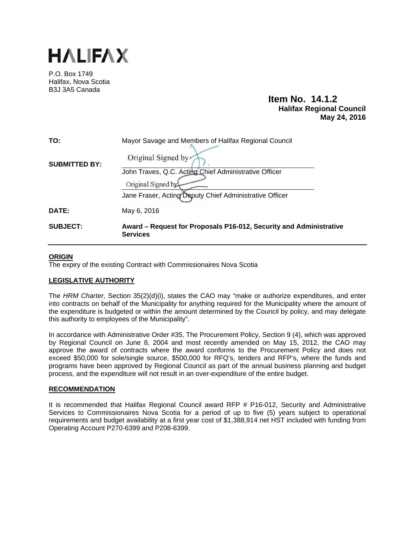

P.O. Box 1749 Halifax, Nova Scotia B3J 3A5 Canada

# **Item No. 14.1.2 Halifax Regional Council May 24, 2016**

| TO:                  | Mayor Savage and Members of Halifax Regional Council                                  |
|----------------------|---------------------------------------------------------------------------------------|
| <b>SUBMITTED BY:</b> | Original Signed by                                                                    |
|                      | John Traves, Q.C. Acting Chief Administrative Officer                                 |
|                      | Original Signed by                                                                    |
|                      | Jane Fraser, Acting Deputy Chief Administrative Officer                               |
| DATE:                | May 6, 2016                                                                           |
| <b>SUBJECT:</b>      | Award – Request for Proposals P16-012, Security and Administrative<br><b>Services</b> |

# **ORIGIN**

The expiry of the existing Contract with Commissionaires Nova Scotia

# **LEGISLATIVE AUTHORITY**

The *HRM Charter,* Section 35(2)(d)(i), states the CAO may "make or authorize expenditures, and enter into contracts on behalf of the Municipality for anything required for the Municipality where the amount of the expenditure is budgeted or within the amount determined by the Council by policy, and may delegate this authority to employees of the Municipality".

In accordance with Administrative Order #35, The Procurement Policy, Section 9 (4), which was approved by Regional Council on June 8, 2004 and most recently amended on May 15, 2012, the CAO may approve the award of contracts where the award conforms to the Procurement Policy and does not exceed \$50,000 for sole/single source, \$500,000 for RFQ's, tenders and RFP's, where the funds and programs have been approved by Regional Council as part of the annual business planning and budget process, and the expenditure will not result in an over-expenditure of the entire budget.

# **RECOMMENDATION**

It is recommended that Halifax Regional Council award RFP # P16-012, Security and Administrative Services to Commissionaires Nova Scotia for a period of up to five (5) years subject to operational requirements and budget availability at a first year cost of \$1,388,914 net HST included with funding from Operating Account P270-6399 and P208-6399.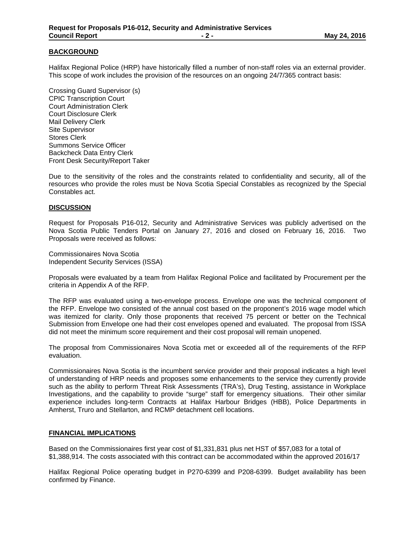# **BACKGROUND**

Halifax Regional Police (HRP) have historically filled a number of non-staff roles via an external provider. This scope of work includes the provision of the resources on an ongoing 24/7/365 contract basis:

Crossing Guard Supervisor (s) CPIC Transcription Court Court Administration Clerk Court Disclosure Clerk Mail Delivery Clerk Site Supervisor Stores Clerk Summons Service Officer Backcheck Data Entry Clerk Front Desk Security/Report Taker

Due to the sensitivity of the roles and the constraints related to confidentiality and security, all of the resources who provide the roles must be Nova Scotia Special Constables as recognized by the Special Constables act.

### **DISCUSSION**

Request for Proposals P16-012, Security and Administrative Services was publicly advertised on the Nova Scotia Public Tenders Portal on January 27, 2016 and closed on February 16, 2016. Two Proposals were received as follows:

Commissionaires Nova Scotia Independent Security Services (ISSA)

Proposals were evaluated by a team from Halifax Regional Police and facilitated by Procurement per the criteria in Appendix A of the RFP.

The RFP was evaluated using a two-envelope process. Envelope one was the technical component of the RFP. Envelope two consisted of the annual cost based on the proponent's 2016 wage model which was itemized for clarity. Only those proponents that received 75 percent or better on the Technical Submission from Envelope one had their cost envelopes opened and evaluated. The proposal from ISSA did not meet the minimum score requirement and their cost proposal will remain unopened.

The proposal from Commissionaires Nova Scotia met or exceeded all of the requirements of the RFP evaluation.

Commissionaires Nova Scotia is the incumbent service provider and their proposal indicates a high level of understanding of HRP needs and proposes some enhancements to the service they currently provide such as the ability to perform Threat Risk Assessments (TRA's), Drug Testing, assistance in Workplace Investigations, and the capability to provide "surge" staff for emergency situations. Their other similar experience includes long-term Contracts at Halifax Harbour Bridges (HBB), Police Departments in Amherst, Truro and Stellarton, and RCMP detachment cell locations.

# **FINANCIAL IMPLICATIONS**

Based on the Commissionaires first year cost of \$1,331,831 plus net HST of \$57,083 for a total of \$1,388,914. The costs associated with this contract can be accommodated within the approved 2016/17

Halifax Regional Police operating budget in P270-6399 and P208-6399. Budget availability has been confirmed by Finance.